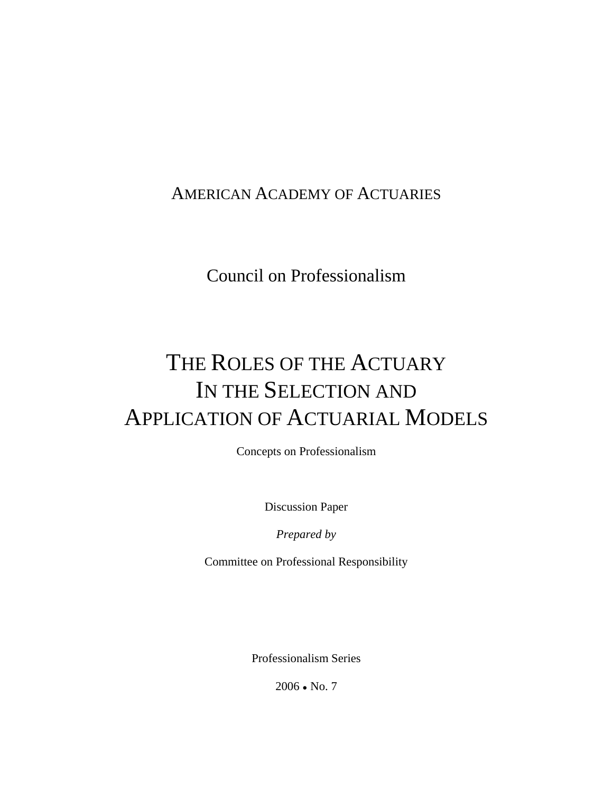### [AMERICAN ACADEMY OF ACTUARIES](http://www.actuary.org/)

## Council on Professionalism

# THE ROLES OF THE ACTUARY IN THE SELECTION AND APPLICATION OF ACTUARIAL MODELS

Concepts on Professionalism

Discussion Paper

*Prepared by* 

Committee on Professional Responsibility

Professionalism Series

 $2006 \cdot No. 7$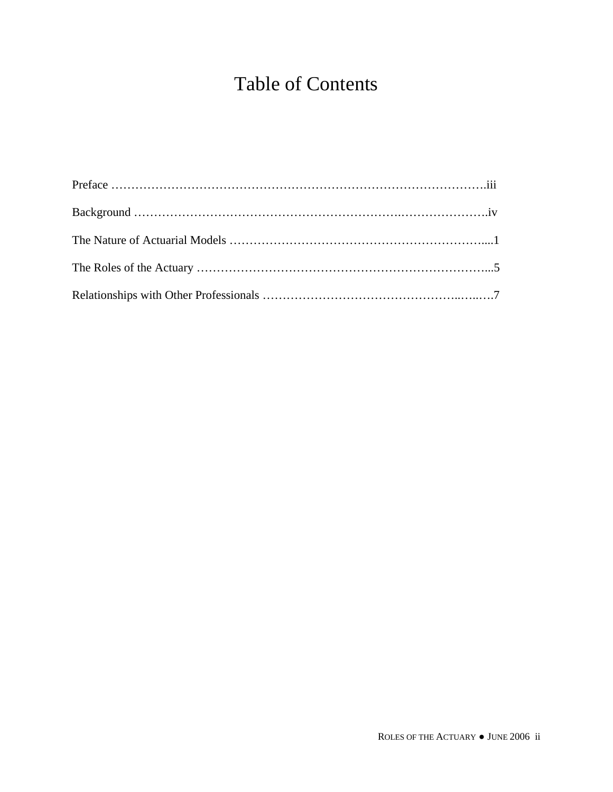# Table of Contents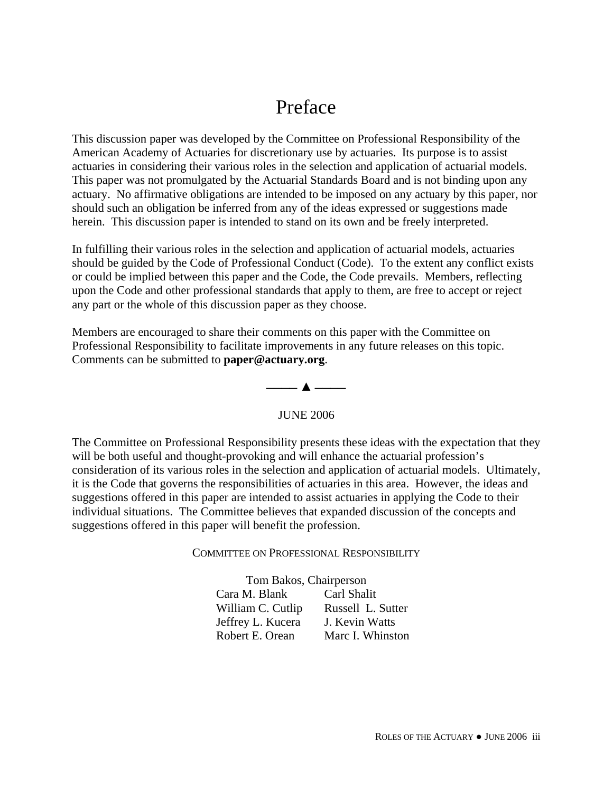## Preface

This discussion paper was developed by the Committee on Professional Responsibility of the American Academy of Actuaries for discretionary use by actuaries. Its purpose is to assist actuaries in considering their various roles in the selection and application of actuarial models. This paper was not promulgated by the Actuarial Standards Board and is not binding upon any actuary. No affirmative obligations are intended to be imposed on any actuary by this paper, nor should such an obligation be inferred from any of the ideas expressed or suggestions made herein. This discussion paper is intended to stand on its own and be freely interpreted.

In fulfilling their various roles in the selection and application of actuarial models, actuaries should be guided by the Code of Professional Conduct (Code). To the extent any conflict exists or could be implied between this paper and the Code, the Code prevails. Members, reflecting upon the Code and other professional standards that apply to them, are free to accept or reject any part or the whole of this discussion paper as they choose.

Members are encouraged to share their comments on this paper with the Committee on Professional Responsibility to facilitate improvements in any future releases on this topic. Comments can be submitted to **[paper@actuary.org](mailto:paper@actuary.org)**.



#### JUNE 2006

The Committee on Professional Responsibility presents these ideas with the expectation that they will be both useful and thought-provoking and will enhance the actuarial profession's consideration of its various roles in the selection and application of actuarial models. Ultimately, it is the Code that governs the responsibilities of actuaries in this area. However, the ideas and suggestions offered in this paper are intended to assist actuaries in applying the Code to their individual situations. The Committee believes that expanded discussion of the concepts and suggestions offered in this paper will benefit the profession.

#### COMMITTEE ON PROFESSIONAL RESPONSIBILITY

Tom Bakos, Chairperson Cara M. Blank Carl Shalit William C. Cutlip Russell L. Sutter Jeffrey L. Kucera J. Kevin Watts Robert E. Orean Marc I. Whinston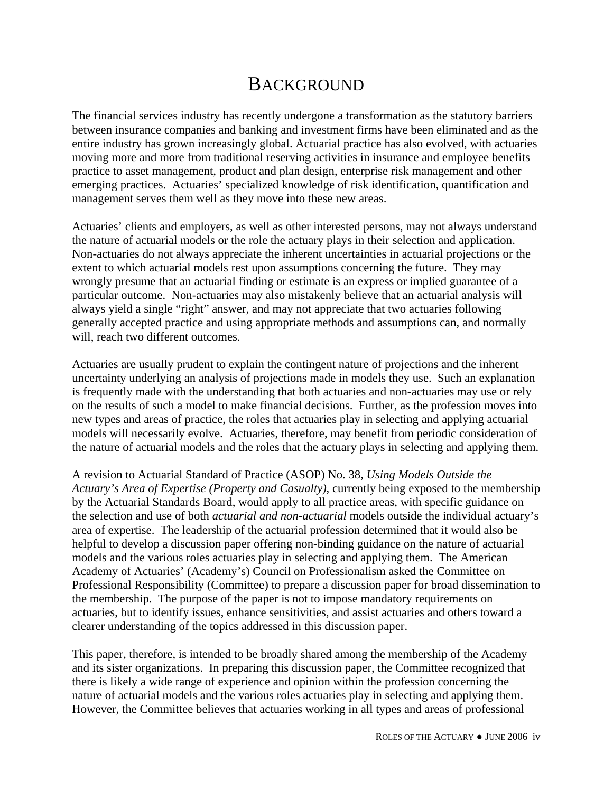### **BACKGROUND**

The financial services industry has recently undergone a transformation as the statutory barriers between insurance companies and banking and investment firms have been eliminated and as the entire industry has grown increasingly global. Actuarial practice has also evolved, with actuaries moving more and more from traditional reserving activities in insurance and employee benefits practice to asset management, product and plan design, enterprise risk management and other emerging practices. Actuaries' specialized knowledge of risk identification, quantification and management serves them well as they move into these new areas.

Actuaries' clients and employers, as well as other interested persons, may not always understand the nature of actuarial models or the role the actuary plays in their selection and application. Non-actuaries do not always appreciate the inherent uncertainties in actuarial projections or the extent to which actuarial models rest upon assumptions concerning the future. They may wrongly presume that an actuarial finding or estimate is an express or implied guarantee of a particular outcome. Non-actuaries may also mistakenly believe that an actuarial analysis will always yield a single "right" answer, and may not appreciate that two actuaries following generally accepted practice and using appropriate methods and assumptions can, and normally will, reach two different outcomes.

Actuaries are usually prudent to explain the contingent nature of projections and the inherent uncertainty underlying an analysis of projections made in models they use. Such an explanation is frequently made with the understanding that both actuaries and non-actuaries may use or rely on the results of such a model to make financial decisions. Further, as the profession moves into new types and areas of practice, the roles that actuaries play in selecting and applying actuarial models will necessarily evolve. Actuaries, therefore, may benefit from periodic consideration of the nature of actuarial models and the roles that the actuary plays in selecting and applying them.

A revision to Actuarial Standard of Practice (ASOP) No. 38, *Using Models Outside the Actuary's Area of Expertise (Property and Casualty)*, currently being exposed to the membership by the Actuarial Standards Board, would apply to all practice areas, with specific guidance on the selection and use of both *actuarial and non-actuarial* models outside the individual actuary's area of expertise. The leadership of the actuarial profession determined that it would also be helpful to develop a discussion paper offering non-binding guidance on the nature of actuarial models and the various roles actuaries play in selecting and applying them. The American Academy of Actuaries' (Academy's) Council on Professionalism asked the Committee on Professional Responsibility (Committee) to prepare a discussion paper for broad dissemination to the membership. The purpose of the paper is not to impose mandatory requirements on actuaries, but to identify issues, enhance sensitivities, and assist actuaries and others toward a clearer understanding of the topics addressed in this discussion paper.

This paper, therefore, is intended to be broadly shared among the membership of the Academy and its sister organizations. In preparing this discussion paper, the Committee recognized that there is likely a wide range of experience and opinion within the profession concerning the nature of actuarial models and the various roles actuaries play in selecting and applying them. However, the Committee believes that actuaries working in all types and areas of professional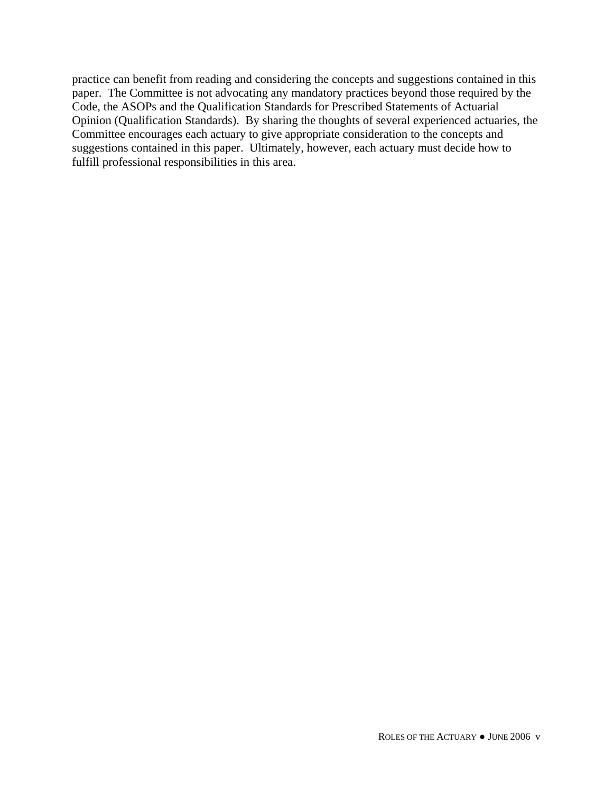practice can benefit from reading and considering the concepts and suggestions contained in this paper. The Committee is not advocating any mandatory practices beyond those required by the Code, the ASOPs and the Qualification Standards for Prescribed Statements of Actuarial Opinion (Qualification Standards). By sharing the thoughts of several experienced actuaries, the Committee encourages each actuary to give appropriate consideration to the concepts and suggestions contained in this paper. Ultimately, however, each actuary must decide how to fulfill professional responsibilities in this area.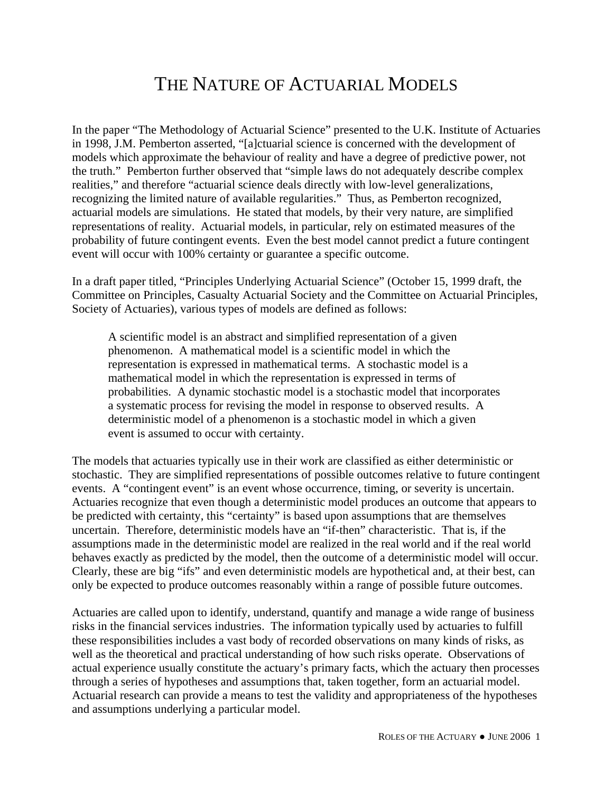### THE NATURE OF ACTUARIAL MODELS

In the paper "The Methodology of Actuarial Science" presented to the U.K. Institute of Actuaries in 1998, J.M. Pemberton asserted, "[a]ctuarial science is concerned with the development of models which approximate the behaviour of reality and have a degree of predictive power, not the truth." Pemberton further observed that "simple laws do not adequately describe complex realities," and therefore "actuarial science deals directly with low-level generalizations, recognizing the limited nature of available regularities." Thus, as Pemberton recognized, actuarial models are simulations. He stated that models, by their very nature, are simplified representations of reality. Actuarial models, in particular, rely on estimated measures of the probability of future contingent events. Even the best model cannot predict a future contingent event will occur with 100% certainty or guarantee a specific outcome.

In a draft paper titled, "Principles Underlying Actuarial Science" (October 15, 1999 draft, the Committee on Principles, Casualty Actuarial Society and the Committee on Actuarial Principles, Society of Actuaries), various types of models are defined as follows:

A scientific model is an abstract and simplified representation of a given phenomenon. A mathematical model is a scientific model in which the representation is expressed in mathematical terms. A stochastic model is a mathematical model in which the representation is expressed in terms of probabilities. A dynamic stochastic model is a stochastic model that incorporates a systematic process for revising the model in response to observed results. A deterministic model of a phenomenon is a stochastic model in which a given event is assumed to occur with certainty.

The models that actuaries typically use in their work are classified as either deterministic or stochastic. They are simplified representations of possible outcomes relative to future contingent events. A "contingent event" is an event whose occurrence, timing, or severity is uncertain. Actuaries recognize that even though a deterministic model produces an outcome that appears to be predicted with certainty, this "certainty" is based upon assumptions that are themselves uncertain. Therefore, deterministic models have an "if-then" characteristic. That is, if the assumptions made in the deterministic model are realized in the real world and if the real world behaves exactly as predicted by the model, then the outcome of a deterministic model will occur. Clearly, these are big "ifs" and even deterministic models are hypothetical and, at their best, can only be expected to produce outcomes reasonably within a range of possible future outcomes.

Actuaries are called upon to identify, understand, quantify and manage a wide range of business risks in the financial services industries. The information typically used by actuaries to fulfill these responsibilities includes a vast body of recorded observations on many kinds of risks, as well as the theoretical and practical understanding of how such risks operate. Observations of actual experience usually constitute the actuary's primary facts, which the actuary then processes through a series of hypotheses and assumptions that, taken together, form an actuarial model. Actuarial research can provide a means to test the validity and appropriateness of the hypotheses and assumptions underlying a particular model.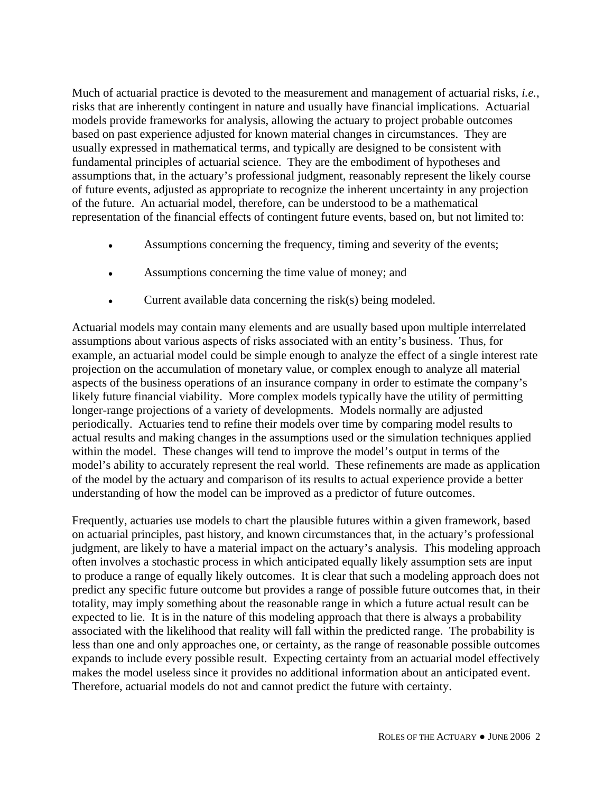Much of actuarial practice is devoted to the measurement and management of actuarial risks, *i.e.*, risks that are inherently contingent in nature and usually have financial implications. Actuarial models provide frameworks for analysis, allowing the actuary to project probable outcomes based on past experience adjusted for known material changes in circumstances. They are usually expressed in mathematical terms, and typically are designed to be consistent with fundamental principles of actuarial science. They are the embodiment of hypotheses and assumptions that, in the actuary's professional judgment, reasonably represent the likely course of future events, adjusted as appropriate to recognize the inherent uncertainty in any projection of the future. An actuarial model, therefore, can be understood to be a mathematical representation of the financial effects of contingent future events, based on, but not limited to:

- Assumptions concerning the frequency, timing and severity of the events;
- Assumptions concerning the time value of money; and
- Current available data concerning the risk $(s)$  being modeled.

Actuarial models may contain many elements and are usually based upon multiple interrelated assumptions about various aspects of risks associated with an entity's business. Thus, for example, an actuarial model could be simple enough to analyze the effect of a single interest rate projection on the accumulation of monetary value, or complex enough to analyze all material aspects of the business operations of an insurance company in order to estimate the company's likely future financial viability. More complex models typically have the utility of permitting longer-range projections of a variety of developments. Models normally are adjusted periodically. Actuaries tend to refine their models over time by comparing model results to actual results and making changes in the assumptions used or the simulation techniques applied within the model. These changes will tend to improve the model's output in terms of the model's ability to accurately represent the real world. These refinements are made as application of the model by the actuary and comparison of its results to actual experience provide a better understanding of how the model can be improved as a predictor of future outcomes.

Frequently, actuaries use models to chart the plausible futures within a given framework, based on actuarial principles, past history, and known circumstances that, in the actuary's professional judgment, are likely to have a material impact on the actuary's analysis. This modeling approach often involves a stochastic process in which anticipated equally likely assumption sets are input to produce a range of equally likely outcomes. It is clear that such a modeling approach does not predict any specific future outcome but provides a range of possible future outcomes that, in their totality, may imply something about the reasonable range in which a future actual result can be expected to lie. It is in the nature of this modeling approach that there is always a probability associated with the likelihood that reality will fall within the predicted range. The probability is less than one and only approaches one, or certainty, as the range of reasonable possible outcomes expands to include every possible result. Expecting certainty from an actuarial model effectively makes the model useless since it provides no additional information about an anticipated event. Therefore, actuarial models do not and cannot predict the future with certainty.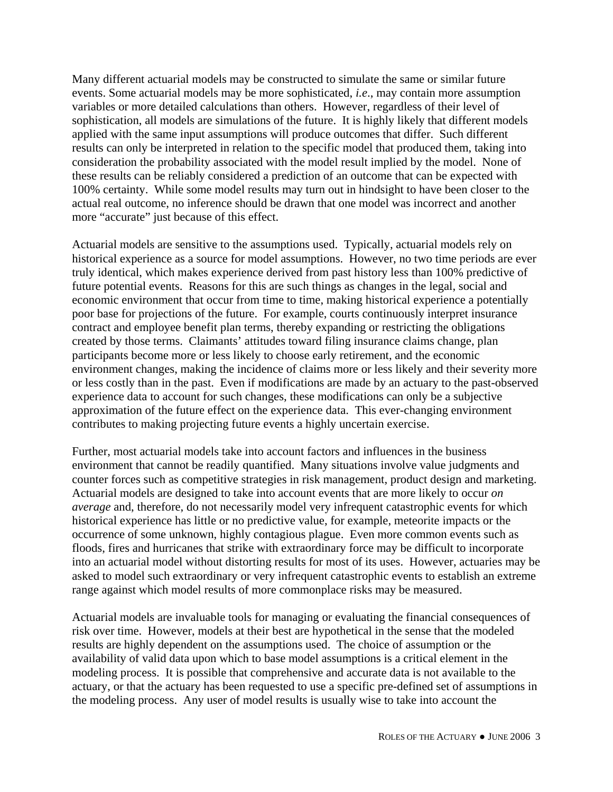Many different actuarial models may be constructed to simulate the same or similar future events. Some actuarial models may be more sophisticated, *i.e*., may contain more assumption variables or more detailed calculations than others. However, regardless of their level of sophistication, all models are simulations of the future. It is highly likely that different models applied with the same input assumptions will produce outcomes that differ. Such different results can only be interpreted in relation to the specific model that produced them, taking into consideration the probability associated with the model result implied by the model. None of these results can be reliably considered a prediction of an outcome that can be expected with 100% certainty. While some model results may turn out in hindsight to have been closer to the actual real outcome, no inference should be drawn that one model was incorrect and another more "accurate" just because of this effect.

Actuarial models are sensitive to the assumptions used. Typically, actuarial models rely on historical experience as a source for model assumptions. However, no two time periods are ever truly identical, which makes experience derived from past history less than 100% predictive of future potential events. Reasons for this are such things as changes in the legal, social and economic environment that occur from time to time, making historical experience a potentially poor base for projections of the future. For example, courts continuously interpret insurance contract and employee benefit plan terms, thereby expanding or restricting the obligations created by those terms. Claimants' attitudes toward filing insurance claims change, plan participants become more or less likely to choose early retirement, and the economic environment changes, making the incidence of claims more or less likely and their severity more or less costly than in the past. Even if modifications are made by an actuary to the past-observed experience data to account for such changes, these modifications can only be a subjective approximation of the future effect on the experience data. This ever-changing environment contributes to making projecting future events a highly uncertain exercise.

Further, most actuarial models take into account factors and influences in the business environment that cannot be readily quantified. Many situations involve value judgments and counter forces such as competitive strategies in risk management, product design and marketing. Actuarial models are designed to take into account events that are more likely to occur *on average* and, therefore, do not necessarily model very infrequent catastrophic events for which historical experience has little or no predictive value, for example, meteorite impacts or the occurrence of some unknown, highly contagious plague. Even more common events such as floods, fires and hurricanes that strike with extraordinary force may be difficult to incorporate into an actuarial model without distorting results for most of its uses. However, actuaries may be asked to model such extraordinary or very infrequent catastrophic events to establish an extreme range against which model results of more commonplace risks may be measured.

Actuarial models are invaluable tools for managing or evaluating the financial consequences of risk over time. However, models at their best are hypothetical in the sense that the modeled results are highly dependent on the assumptions used. The choice of assumption or the availability of valid data upon which to base model assumptions is a critical element in the modeling process. It is possible that comprehensive and accurate data is not available to the actuary, or that the actuary has been requested to use a specific pre-defined set of assumptions in the modeling process. Any user of model results is usually wise to take into account the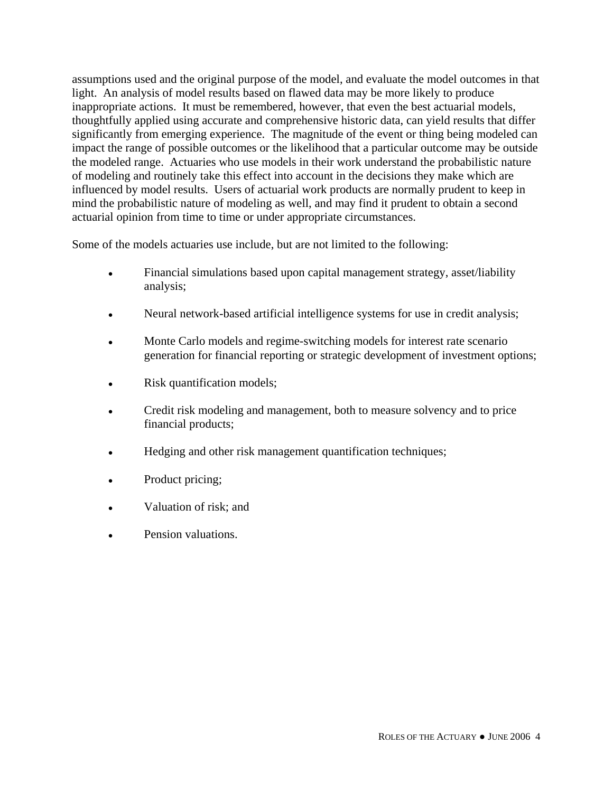assumptions used and the original purpose of the model, and evaluate the model outcomes in that light. An analysis of model results based on flawed data may be more likely to produce inappropriate actions. It must be remembered, however, that even the best actuarial models, thoughtfully applied using accurate and comprehensive historic data, can yield results that differ significantly from emerging experience. The magnitude of the event or thing being modeled can impact the range of possible outcomes or the likelihood that a particular outcome may be outside the modeled range. Actuaries who use models in their work understand the probabilistic nature of modeling and routinely take this effect into account in the decisions they make which are influenced by model results. Users of actuarial work products are normally prudent to keep in mind the probabilistic nature of modeling as well, and may find it prudent to obtain a second actuarial opinion from time to time or under appropriate circumstances.

Some of the models actuaries use include, but are not limited to the following:

- Financial simulations based upon capital management strategy, asset/liability analysis;
- Neural network-based artificial intelligence systems for use in credit analysis;
- Monte Carlo models and regime-switching models for interest rate scenario generation for financial reporting or strategic development of investment options;
- Risk quantification models;
- Credit risk modeling and management, both to measure solvency and to price financial products;
- Hedging and other risk management quantification techniques;
- Product pricing;
- Valuation of risk; and
- Pension valuations.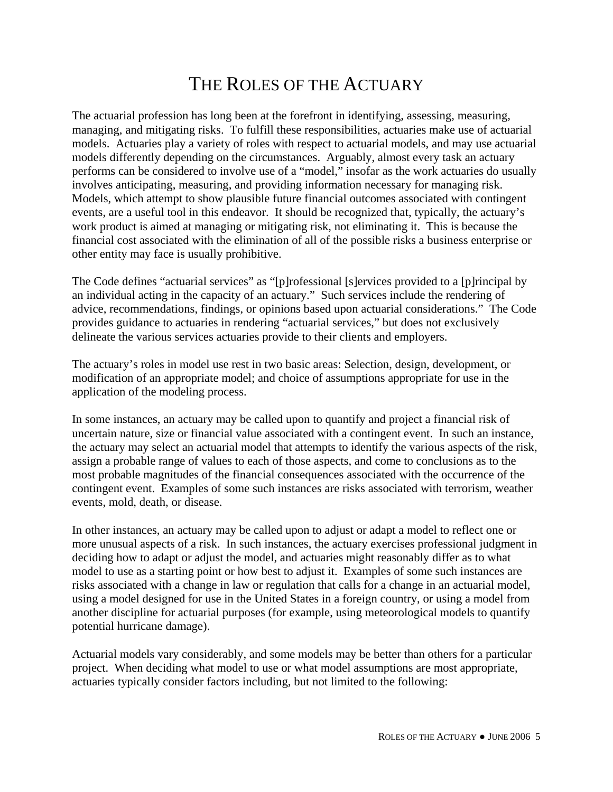### THE ROLES OF THE ACTUARY

The actuarial profession has long been at the forefront in identifying, assessing, measuring, managing, and mitigating risks. To fulfill these responsibilities, actuaries make use of actuarial models. Actuaries play a variety of roles with respect to actuarial models, and may use actuarial models differently depending on the circumstances. Arguably, almost every task an actuary performs can be considered to involve use of a "model," insofar as the work actuaries do usually involves anticipating, measuring, and providing information necessary for managing risk. Models, which attempt to show plausible future financial outcomes associated with contingent events, are a useful tool in this endeavor. It should be recognized that, typically, the actuary's work product is aimed at managing or mitigating risk, not eliminating it. This is because the financial cost associated with the elimination of all of the possible risks a business enterprise or other entity may face is usually prohibitive.

The Code defines "actuarial services" as "[p]rofessional [s]ervices provided to a [p]rincipal by an individual acting in the capacity of an actuary." Such services include the rendering of advice, recommendations, findings, or opinions based upon actuarial considerations." The Code provides guidance to actuaries in rendering "actuarial services," but does not exclusively delineate the various services actuaries provide to their clients and employers.

The actuary's roles in model use rest in two basic areas: Selection, design, development, or modification of an appropriate model; and choice of assumptions appropriate for use in the application of the modeling process.

In some instances, an actuary may be called upon to quantify and project a financial risk of uncertain nature, size or financial value associated with a contingent event. In such an instance, the actuary may select an actuarial model that attempts to identify the various aspects of the risk, assign a probable range of values to each of those aspects, and come to conclusions as to the most probable magnitudes of the financial consequences associated with the occurrence of the contingent event. Examples of some such instances are risks associated with terrorism, weather events, mold, death, or disease.

In other instances, an actuary may be called upon to adjust or adapt a model to reflect one or more unusual aspects of a risk. In such instances, the actuary exercises professional judgment in deciding how to adapt or adjust the model, and actuaries might reasonably differ as to what model to use as a starting point or how best to adjust it. Examples of some such instances are risks associated with a change in law or regulation that calls for a change in an actuarial model, using a model designed for use in the United States in a foreign country, or using a model from another discipline for actuarial purposes (for example, using meteorological models to quantify potential hurricane damage).

Actuarial models vary considerably, and some models may be better than others for a particular project. When deciding what model to use or what model assumptions are most appropriate, actuaries typically consider factors including, but not limited to the following: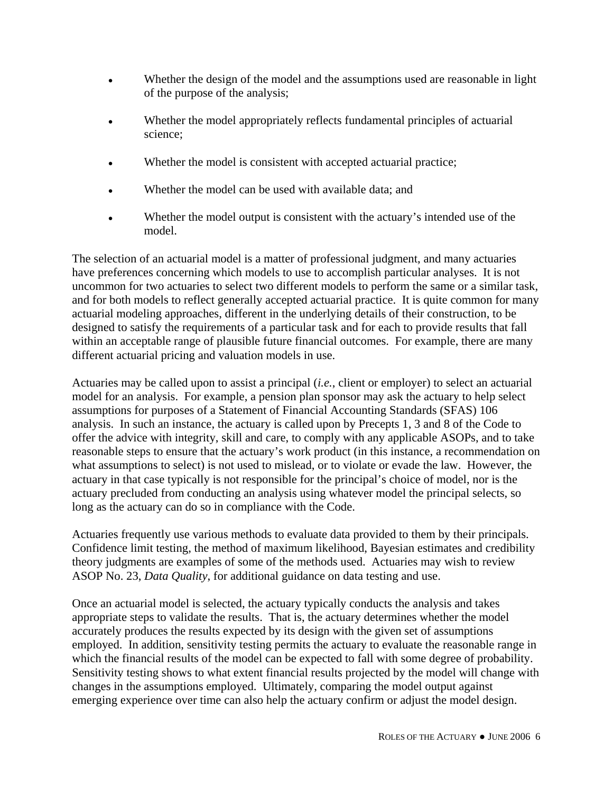- Whether the design of the model and the assumptions used are reasonable in light of the purpose of the analysis;
- Whether the model appropriately reflects fundamental principles of actuarial science;
- Whether the model is consistent with accepted actuarial practice;
- Whether the model can be used with available data; and
- Whether the model output is consistent with the actuary's intended use of the model.

The selection of an actuarial model is a matter of professional judgment, and many actuaries have preferences concerning which models to use to accomplish particular analyses. It is not uncommon for two actuaries to select two different models to perform the same or a similar task, and for both models to reflect generally accepted actuarial practice. It is quite common for many actuarial modeling approaches, different in the underlying details of their construction, to be designed to satisfy the requirements of a particular task and for each to provide results that fall within an acceptable range of plausible future financial outcomes. For example, there are many different actuarial pricing and valuation models in use.

Actuaries may be called upon to assist a principal (*i.e.*, client or employer) to select an actuarial model for an analysis. For example, a pension plan sponsor may ask the actuary to help select assumptions for purposes of a Statement of Financial Accounting Standards (SFAS) 106 analysis. In such an instance, the actuary is called upon by Precepts 1, 3 and 8 of the Code to offer the advice with integrity, skill and care, to comply with any applicable ASOPs, and to take reasonable steps to ensure that the actuary's work product (in this instance, a recommendation on what assumptions to select) is not used to mislead, or to violate or evade the law. However, the actuary in that case typically is not responsible for the principal's choice of model, nor is the actuary precluded from conducting an analysis using whatever model the principal selects, so long as the actuary can do so in compliance with the Code.

Actuaries frequently use various methods to evaluate data provided to them by their principals. Confidence limit testing, the method of maximum likelihood, Bayesian estimates and credibility theory judgments are examples of some of the methods used. Actuaries may wish to review ASOP No. 23, *Data Quality*, for additional guidance on data testing and use.

Once an actuarial model is selected, the actuary typically conducts the analysis and takes appropriate steps to validate the results. That is, the actuary determines whether the model accurately produces the results expected by its design with the given set of assumptions employed. In addition, sensitivity testing permits the actuary to evaluate the reasonable range in which the financial results of the model can be expected to fall with some degree of probability. Sensitivity testing shows to what extent financial results projected by the model will change with changes in the assumptions employed. Ultimately, comparing the model output against emerging experience over time can also help the actuary confirm or adjust the model design.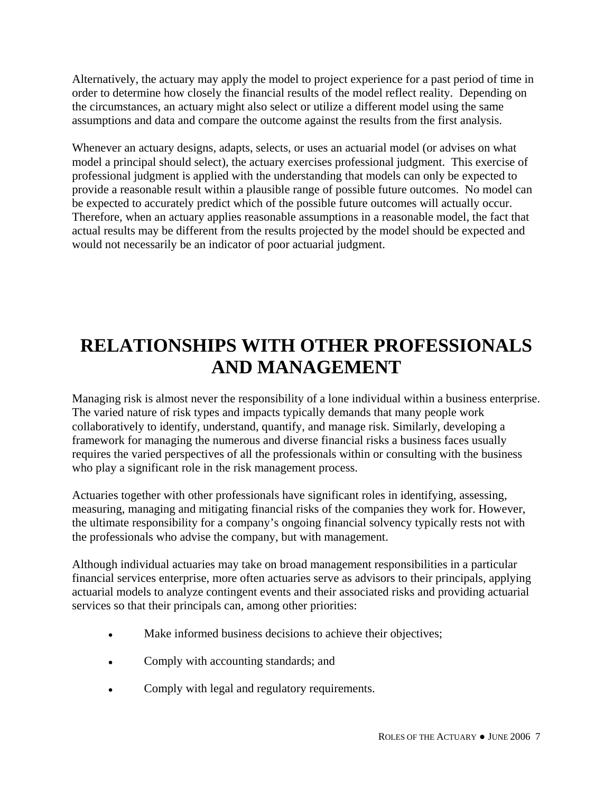Alternatively, the actuary may apply the model to project experience for a past period of time in order to determine how closely the financial results of the model reflect reality. Depending on the circumstances, an actuary might also select or utilize a different model using the same assumptions and data and compare the outcome against the results from the first analysis.

Whenever an actuary designs, adapts, selects, or uses an actuarial model (or advises on what model a principal should select), the actuary exercises professional judgment. This exercise of professional judgment is applied with the understanding that models can only be expected to provide a reasonable result within a plausible range of possible future outcomes. No model can be expected to accurately predict which of the possible future outcomes will actually occur. Therefore, when an actuary applies reasonable assumptions in a reasonable model, the fact that actual results may be different from the results projected by the model should be expected and would not necessarily be an indicator of poor actuarial judgment.

# **RELATIONSHIPS WITH OTHER PROFESSIONALS AND MANAGEMENT**

Managing risk is almost never the responsibility of a lone individual within a business enterprise. The varied nature of risk types and impacts typically demands that many people work collaboratively to identify, understand, quantify, and manage risk. Similarly, developing a framework for managing the numerous and diverse financial risks a business faces usually requires the varied perspectives of all the professionals within or consulting with the business who play a significant role in the risk management process.

Actuaries together with other professionals have significant roles in identifying, assessing, measuring, managing and mitigating financial risks of the companies they work for. However, the ultimate responsibility for a company's ongoing financial solvency typically rests not with the professionals who advise the company, but with management.

Although individual actuaries may take on broad management responsibilities in a particular financial services enterprise, more often actuaries serve as advisors to their principals, applying actuarial models to analyze contingent events and their associated risks and providing actuarial services so that their principals can, among other priorities:

- Make informed business decisions to achieve their objectives;
- Comply with accounting standards; and
- Comply with legal and regulatory requirements.